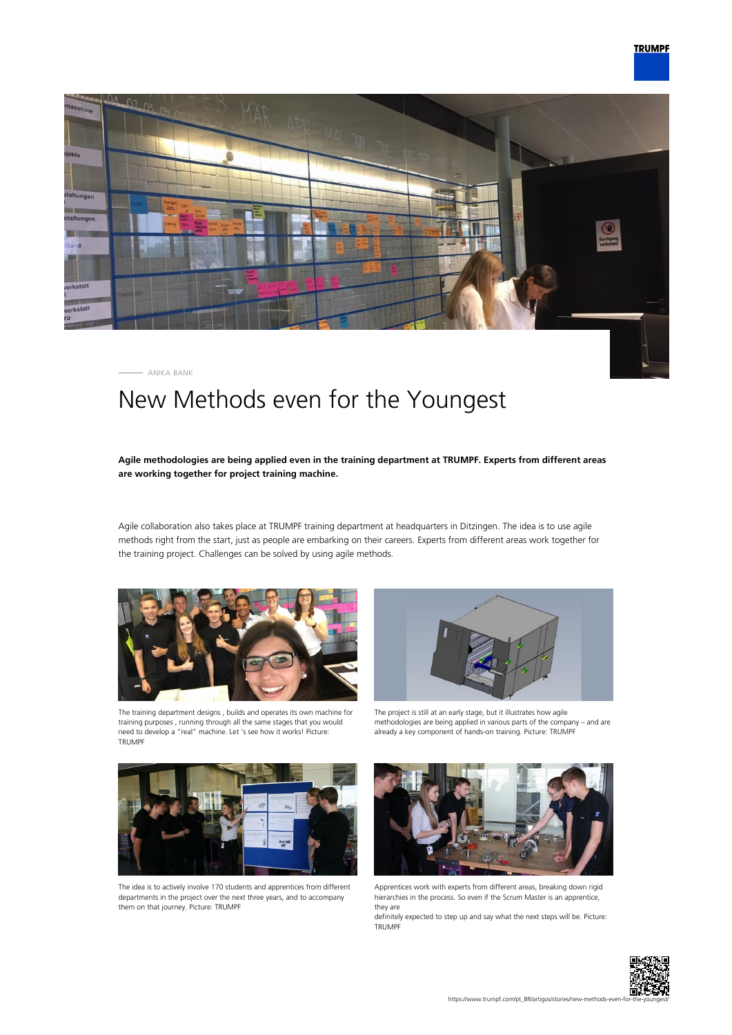

ANIKA BANK

## New Methods even for the Youngest

## **Agile methodologies are being applied even in the training department at TRUMPF. Experts from different areas are working together for project training machine.**

Agile collaboration also takes place at TRUMPF training department at headquarters in Ditzingen. The idea is to use agile methods right from the start, just as people are embarking on their careers. Experts from different areas work together for the training project. Challenges can be solved by using agile methods.





The training department designs , builds and operates its own machine for training purposes , running through all the same stages that you would need to develop a "real" machine. Let 's see how it works! Picture: TRUMPF

The project is still at an early stage, but it illustrates how agile methodologies are being applied in various parts of the company – and are already a key component of hands-on training. Picture: TRUMPF



The idea is to actively involve 170 students and apprentices from different departments in the project over the next three years, and to accompany them on that journey. Picture: TRUMPF



Apprentices work with experts from different areas, breaking down rigid hierarchies in the process. So even if the Scrum Master is an apprentice, they are

definitely expected to step up and say what the next steps will be. Picture: TRUMPF